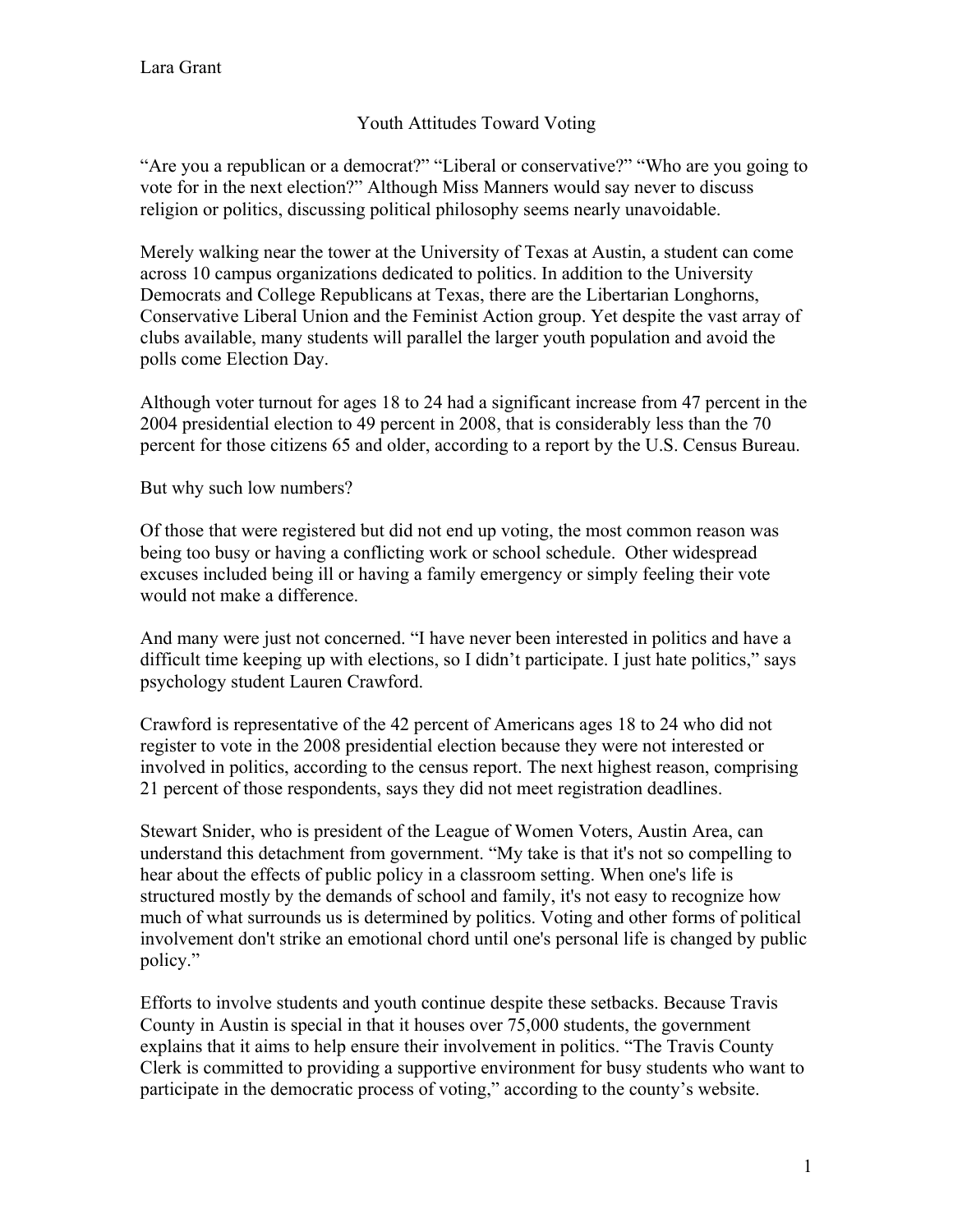## Youth Attitudes Toward Voting

"Are you a republican or a democrat?" "Liberal or conservative?" "Who are you going to vote for in the next election?" Although Miss Manners would say never to discuss religion or politics, discussing political philosophy seems nearly unavoidable.

Merely walking near the tower at the University of Texas at Austin, a student can come across 10 campus organizations dedicated to politics. In addition to the University Democrats and College Republicans at Texas, there are the Libertarian Longhorns, Conservative Liberal Union and the Feminist Action group. Yet despite the vast array of clubs available, many students will parallel the larger youth population and avoid the polls come Election Day.

Although voter turnout for ages 18 to 24 had a significant increase from 47 percent in the 2004 presidential election to 49 percent in 2008, that is considerably less than the 70 percent for those citizens 65 and older, according to a report by the U.S. Census Bureau.

But why such low numbers?

Of those that were registered but did not end up voting, the most common reason was being too busy or having a conflicting work or school schedule. Other widespread excuses included being ill or having a family emergency or simply feeling their vote would not make a difference.

And many were just not concerned. "I have never been interested in politics and have a difficult time keeping up with elections, so I didn't participate. I just hate politics," says psychology student Lauren Crawford.

Crawford is representative of the 42 percent of Americans ages 18 to 24 who did not register to vote in the 2008 presidential election because they were not interested or involved in politics, according to the census report. The next highest reason, comprising 21 percent of those respondents, says they did not meet registration deadlines.

Stewart Snider, who is president of the League of Women Voters, Austin Area, can understand this detachment from government. "My take is that it's not so compelling to hear about the effects of public policy in a classroom setting. When one's life is structured mostly by the demands of school and family, it's not easy to recognize how much of what surrounds us is determined by politics. Voting and other forms of political involvement don't strike an emotional chord until one's personal life is changed by public policy."

Efforts to involve students and youth continue despite these setbacks. Because Travis County in Austin is special in that it houses over 75,000 students, the government explains that it aims to help ensure their involvement in politics. "The Travis County Clerk is committed to providing a supportive environment for busy students who want to participate in the democratic process of voting," according to the county's website.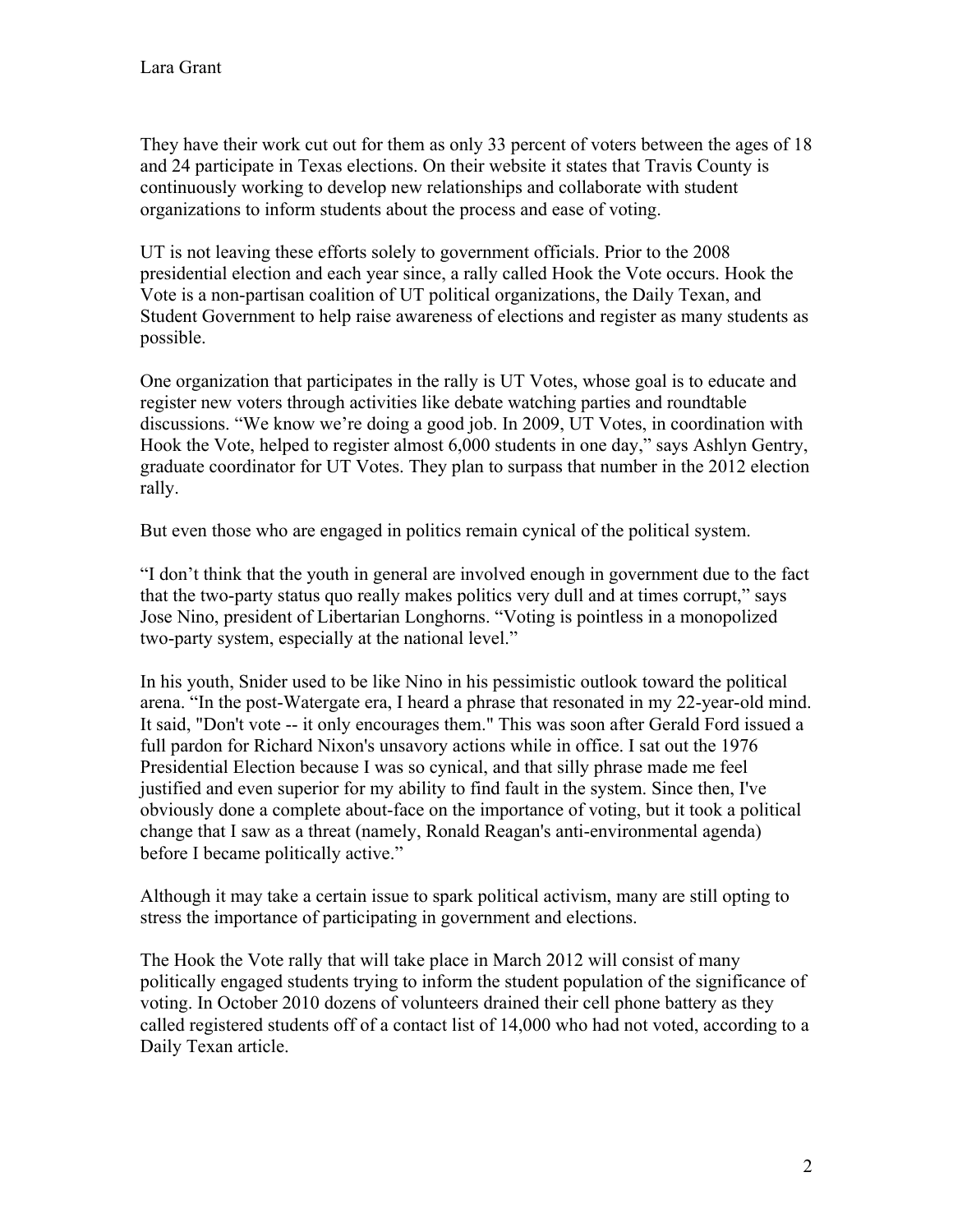They have their work cut out for them as only 33 percent of voters between the ages of 18 and 24 participate in Texas elections. On their website it states that Travis County is continuously working to develop new relationships and collaborate with student organizations to inform students about the process and ease of voting.

UT is not leaving these efforts solely to government officials. Prior to the 2008 presidential election and each year since, a rally called Hook the Vote occurs. Hook the Vote is a non-partisan coalition of UT political organizations, the Daily Texan, and Student Government to help raise awareness of elections and register as many students as possible.

One organization that participates in the rally is UT Votes, whose goal is to educate and register new voters through activities like debate watching parties and roundtable discussions. "We know we're doing a good job. In 2009, UT Votes, in coordination with Hook the Vote, helped to register almost 6,000 students in one day," says Ashlyn Gentry, graduate coordinator for UT Votes. They plan to surpass that number in the 2012 election rally.

But even those who are engaged in politics remain cynical of the political system.

"I don't think that the youth in general are involved enough in government due to the fact that the two-party status quo really makes politics very dull and at times corrupt," says Jose Nino, president of Libertarian Longhorns. "Voting is pointless in a monopolized two-party system, especially at the national level."

In his youth, Snider used to be like Nino in his pessimistic outlook toward the political arena. "In the post-Watergate era, I heard a phrase that resonated in my 22-year-old mind. It said, "Don't vote -- it only encourages them." This was soon after Gerald Ford issued a full pardon for Richard Nixon's unsavory actions while in office. I sat out the 1976 Presidential Election because I was so cynical, and that silly phrase made me feel justified and even superior for my ability to find fault in the system. Since then, I've obviously done a complete about-face on the importance of voting, but it took a political change that I saw as a threat (namely, Ronald Reagan's anti-environmental agenda) before I became politically active."

Although it may take a certain issue to spark political activism, many are still opting to stress the importance of participating in government and elections.

The Hook the Vote rally that will take place in March 2012 will consist of many politically engaged students trying to inform the student population of the significance of voting. In October 2010 dozens of volunteers drained their cell phone battery as they called registered students off of a contact list of 14,000 who had not voted, according to a Daily Texan article.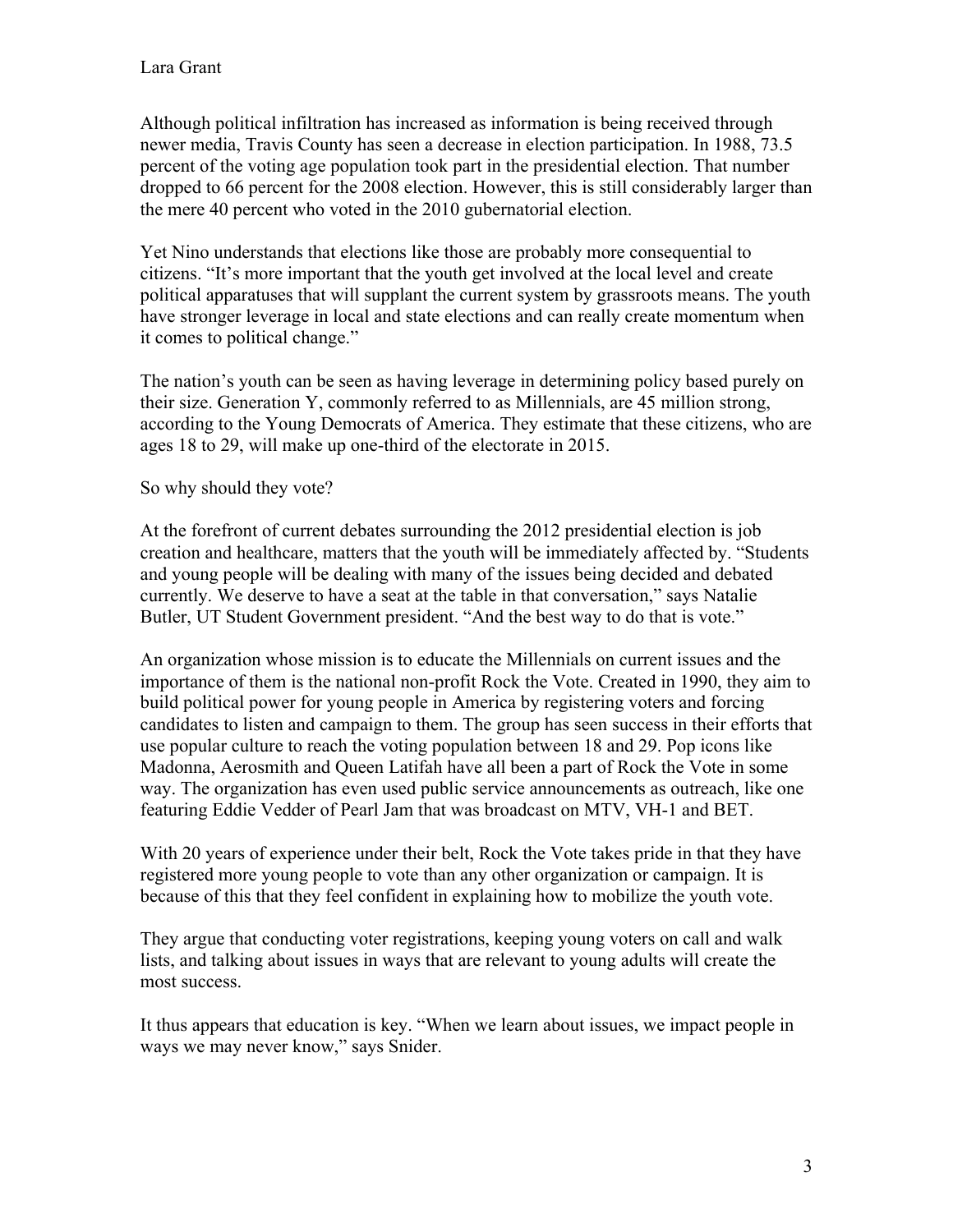Although political infiltration has increased as information is being received through newer media, Travis County has seen a decrease in election participation. In 1988, 73.5 percent of the voting age population took part in the presidential election. That number dropped to 66 percent for the 2008 election. However, this is still considerably larger than the mere 40 percent who voted in the 2010 gubernatorial election.

Yet Nino understands that elections like those are probably more consequential to citizens. "It's more important that the youth get involved at the local level and create political apparatuses that will supplant the current system by grassroots means. The youth have stronger leverage in local and state elections and can really create momentum when it comes to political change."

The nation's youth can be seen as having leverage in determining policy based purely on their size. Generation Y, commonly referred to as Millennials, are 45 million strong, according to the Young Democrats of America. They estimate that these citizens, who are ages 18 to 29, will make up one-third of the electorate in 2015.

So why should they vote?

At the forefront of current debates surrounding the 2012 presidential election is job creation and healthcare, matters that the youth will be immediately affected by. "Students and young people will be dealing with many of the issues being decided and debated currently. We deserve to have a seat at the table in that conversation," says Natalie Butler, UT Student Government president. "And the best way to do that is vote."

An organization whose mission is to educate the Millennials on current issues and the importance of them is the national non-profit Rock the Vote. Created in 1990, they aim to build political power for young people in America by registering voters and forcing candidates to listen and campaign to them. The group has seen success in their efforts that use popular culture to reach the voting population between 18 and 29. Pop icons like Madonna, Aerosmith and Queen Latifah have all been a part of Rock the Vote in some way. The organization has even used public service announcements as outreach, like one featuring Eddie Vedder of Pearl Jam that was broadcast on MTV, VH-1 and BET.

With 20 years of experience under their belt. Rock the Vote takes pride in that they have registered more young people to vote than any other organization or campaign. It is because of this that they feel confident in explaining how to mobilize the youth vote.

They argue that conducting voter registrations, keeping young voters on call and walk lists, and talking about issues in ways that are relevant to young adults will create the most success.

It thus appears that education is key. "When we learn about issues, we impact people in ways we may never know," says Snider.